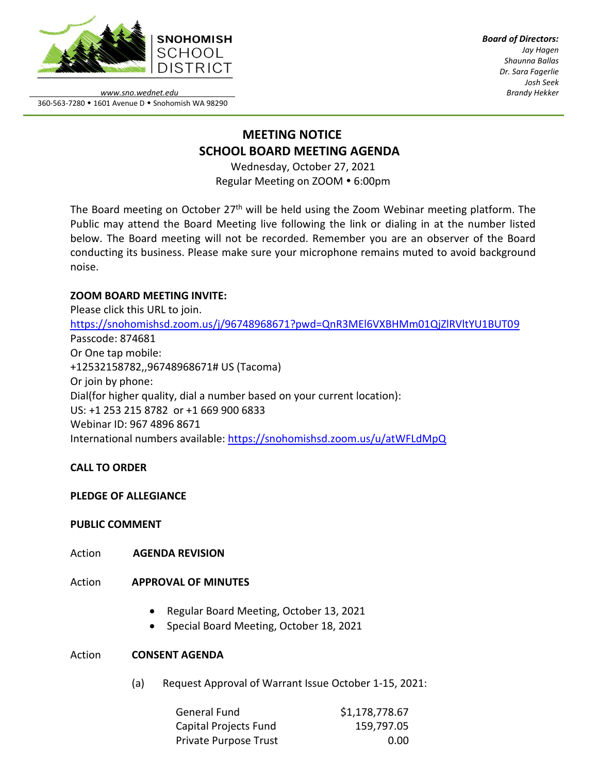

*Board of Directors: Jay Hagen Shaunna Ballas Dr. Sara Fagerlie Josh Seek Brandy Hekker*

*www.sno.wednet.edu* 360-563-7280 • 1601 Avenue D • Snohomish WA 98290

# **MEETING NOTICE SCHOOL BOARD MEETING AGENDA**

Wednesday, October 27, 2021 Regular Meeting on ZOOM . 6:00pm

The Board meeting on October  $27<sup>th</sup>$  will be held using the Zoom Webinar meeting platform. The Public may attend the Board Meeting live following the link or dialing in at the number listed below. The Board meeting will not be recorded. Remember you are an observer of the Board conducting its business. Please make sure your microphone remains muted to avoid background noise.

## **ZOOM BOARD MEETING INVITE:**

Please click this URL to join. <https://snohomishsd.zoom.us/j/96748968671?pwd=QnR3MEl6VXBHMm01QjZlRVltYU1BUT09> Passcode: 874681 Or One tap mobile: +12532158782,,96748968671# US (Tacoma) Or join by phone: Dial(for higher quality, dial a number based on your current location): US: +1 253 215 8782 or +1 669 900 6833 Webinar ID: 967 4896 8671 International numbers available:<https://snohomishsd.zoom.us/u/atWFLdMpQ>

## **CALL TO ORDER**

## **PLEDGE OF ALLEGIANCE**

## **PUBLIC COMMENT**

Action **AGENDA REVISION**

## Action **APPROVAL OF MINUTES**

- Regular Board Meeting, October 13, 2021
- Special Board Meeting, October 18, 2021

## Action **CONSENT AGENDA**

(a) Request Approval of Warrant Issue October 1-15, 2021:

| General Fund          | \$1,178,778.67 |
|-----------------------|----------------|
| Capital Projects Fund | 159,797.05     |
| Private Purpose Trust | 0.00           |